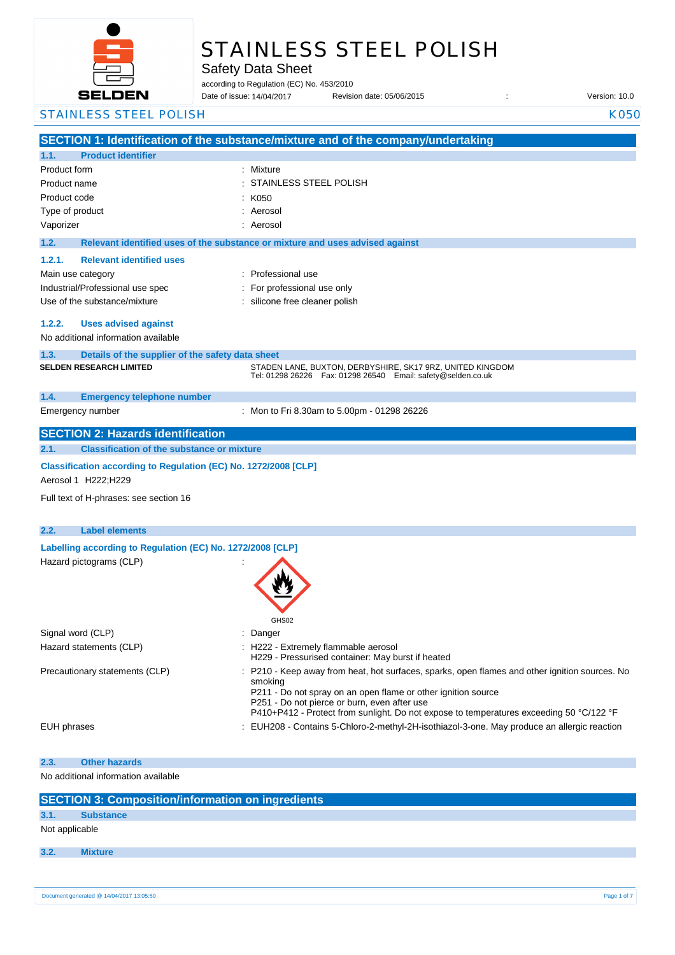

# STAINLESS STEEL POLISH

Safety Data Sheet

according to Regulation (EC) No. 453/2010

Date of issue: Revision date: 05/06/2015 : Version: 10.0 14/04/2017

**SECTION 1: Identification of the substance/mixture and of the company/undertaking 1.1. Product identifier** Product form : Nixture : Mixture Product name : Product code : Type of product in the set of the set of the set of the set of the set of the set of the set of the set of the set of the set of the set of the set of the set of the set of the set of the set of the set of the set of the s Vaporizer : Aerosol **1.2. Relevant identified uses of the substance or mixture and uses advised against 1.2.1. Relevant identified uses**  Main use category **Example 20** and the Professional use Industrial/Professional use spec : For professional use only Use of the substance/mixture : silicone free cleaner polish **1.2.2. Uses advised against** No additional information available **1.3. Details of the supplier of the safety data sheet 1.4. Emergency telephone number** Emergency number : **SECTION 2: Hazards identification 2.1. Classification of the substance or mixture Classification according to Regulation (EC) No. 1272/2008 [CLP]** Aerosol 1 H222;H229 Full text of H-phrases: see section 16 **2.2. Label elements Labelling according to Regulation (EC) No. 1272/2008 [CLP]** Hazard pictograms (CLP) : GHS02 Signal word (CLP)  $\qquad \qquad$ : Danger Hazard statements (CLP)  $\qquad \qquad$  : H222 - Extremely flammable aerosol H229 - Pressurised container: May burst if heated Precautionary statements (CLP) : P210 - Keep away from heat, hot surfaces, sparks, open flames and other ignition sources. No smoking P211 - Do not spray on an open flame or other ignition source P251 - Do not pierce or burn, even after use P410+P412 - Protect from sunlight. Do not expose to temperatures exceeding 50 °C/122 °F EUH phrases **in the state of the EUH208** - Contains 5-Chloro-2-methyl-2H-isothiazol-3-one. May produce an allergic reaction **2.3. Other hazards** No additional information available **SECTION 3: Composition/information on ingredients 3.1. Substance** Not applicable STAINLESS STEEL POLISH K050 STAINLESS STEEL POLISH  $K050$ **SELDEN RESEARCH LIMITED** STADEN LANE, BUXTON, DERBYSHIRE, SK17 9RZ, UNITED KINGDOM Tel: 01298 26226 Fax: 01298 26540 Email: safety@selden.co.uk Mon to Fri 8.30am to 5.00pm - 01298 26226

**3.2. Mixture**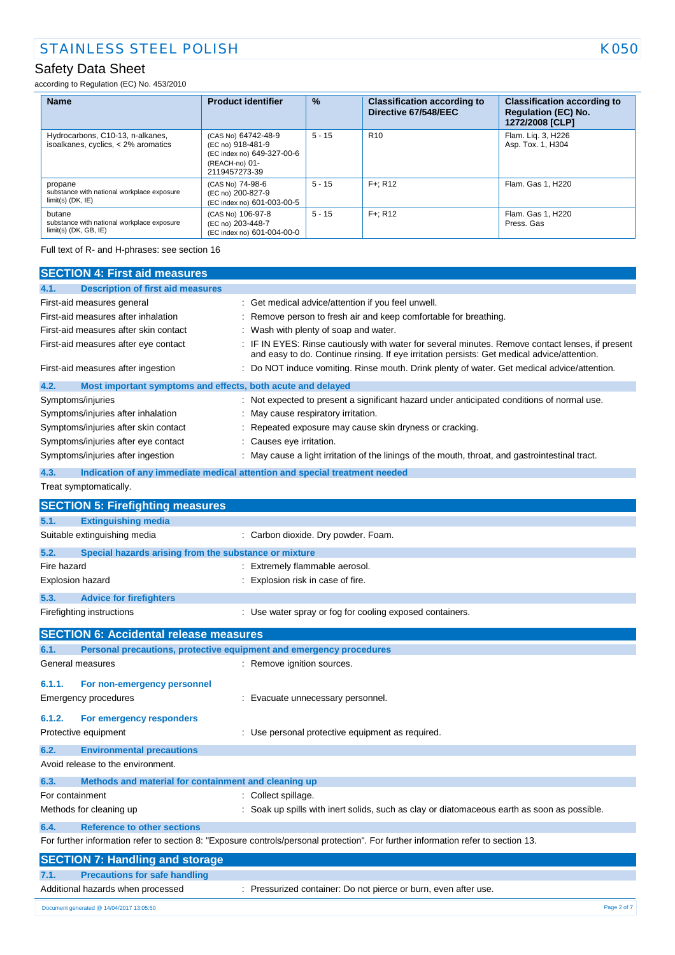according to Regulation (EC) No. 453/2010

| <b>Name</b>                                                                     | <b>Product identifier</b>                                                                                 | %        | <b>Classification according to</b><br>Directive 67/548/EEC | <b>Classification according to</b><br><b>Regulation (EC) No.</b><br>1272/2008 [CLP] |
|---------------------------------------------------------------------------------|-----------------------------------------------------------------------------------------------------------|----------|------------------------------------------------------------|-------------------------------------------------------------------------------------|
| Hydrocarbons, C10-13, n-alkanes,<br>isoalkanes, cyclics, < 2% aromatics         | (CAS No) 64742-48-9<br>(EC no) 918-481-9<br>(EC index no) 649-327-00-6<br>(REACH-no) 01-<br>2119457273-39 | $5 - 15$ | R <sub>10</sub>                                            | Flam. Lig. 3, H226<br>Asp. Tox. 1, H304                                             |
| propane<br>substance with national workplace exposure<br>$limit(s)$ (DK, $IE$ ) | (CAS No) 74-98-6<br>(EC no) 200-827-9<br>(EC index no) 601-003-00-5                                       | $5 - 15$ | $F +: R12$                                                 | Flam, Gas 1, H220                                                                   |
| butane<br>substance with national workplace exposure<br>$limit(s)$ (DK, GB, IE) | (CAS No) 106-97-8<br>(EC no) 203-448-7<br>(EC index no) 601-004-00-0                                      | $5 - 15$ | $F +: R12$                                                 | Flam. Gas 1, H220<br>Press, Gas                                                     |

Full text of R- and H-phrases: see section 16

|                                       | <b>SECTION 4: First aid measures</b>                        |                                                                                                                                                                                               |
|---------------------------------------|-------------------------------------------------------------|-----------------------------------------------------------------------------------------------------------------------------------------------------------------------------------------------|
| 4.1.                                  | <b>Description of first aid measures</b>                    |                                                                                                                                                                                               |
|                                       | First-aid measures general                                  | : Get medical advice/attention if you feel unwell.                                                                                                                                            |
|                                       | First-aid measures after inhalation                         | Remove person to fresh air and keep comfortable for breathing.                                                                                                                                |
| First-aid measures after skin contact |                                                             | Wash with plenty of soap and water.                                                                                                                                                           |
|                                       | First-aid measures after eye contact                        | IF IN EYES: Rinse cautiously with water for several minutes. Remove contact lenses, if present<br>and easy to do. Continue rinsing. If eye irritation persists: Get medical advice/attention. |
|                                       | First-aid measures after ingestion                          | : Do NOT induce vomiting. Rinse mouth. Drink plenty of water. Get medical advice/attention.                                                                                                   |
| 4.2.                                  | Most important symptoms and effects, both acute and delayed |                                                                                                                                                                                               |
|                                       | Symptoms/injuries                                           | : Not expected to present a significant hazard under anticipated conditions of normal use.                                                                                                    |
|                                       | Symptoms/injuries after inhalation                          | : May cause respiratory irritation.                                                                                                                                                           |
|                                       | Symptoms/injuries after skin contact                        | Repeated exposure may cause skin dryness or cracking.                                                                                                                                         |
|                                       | Symptoms/injuries after eye contact                         | : Causes eye irritation.                                                                                                                                                                      |
|                                       | Symptoms/injuries after ingestion                           | : May cause a light irritation of the linings of the mouth, throat, and gastrointestinal tract.                                                                                               |
| 4.3.                                  |                                                             | Indication of any immediate medical attention and special treatment needed                                                                                                                    |
|                                       | Treat symptomatically.                                      |                                                                                                                                                                                               |
|                                       | <b>SECTION 5: Firefighting measures</b>                     |                                                                                                                                                                                               |
| 5.1.                                  | <b>Extinguishing media</b>                                  |                                                                                                                                                                                               |
|                                       | Suitable extinguishing media                                | : Carbon dioxide. Dry powder. Foam.                                                                                                                                                           |
| 5.2.                                  | Special hazards arising from the substance or mixture       |                                                                                                                                                                                               |
| Fire hazard                           |                                                             | : Extremely flammable aerosol.                                                                                                                                                                |
|                                       | Explosion hazard                                            | : Explosion risk in case of fire.                                                                                                                                                             |
| 5.3.                                  | <b>Advice for firefighters</b>                              |                                                                                                                                                                                               |
|                                       | Firefighting instructions                                   | : Use water spray or fog for cooling exposed containers.                                                                                                                                      |
|                                       |                                                             |                                                                                                                                                                                               |
|                                       | <b>SECTION 6: Accidental release measures</b>               |                                                                                                                                                                                               |
| 6.1.                                  |                                                             | Personal precautions, protective equipment and emergency procedures                                                                                                                           |
|                                       | General measures                                            | : Remove ignition sources.                                                                                                                                                                    |
| 6.1.1.                                | For non-emergency personnel                                 |                                                                                                                                                                                               |
|                                       | <b>Emergency procedures</b>                                 | : Evacuate unnecessary personnel.                                                                                                                                                             |
|                                       |                                                             |                                                                                                                                                                                               |
| 6.1.2.                                | For emergency responders                                    |                                                                                                                                                                                               |
|                                       | Protective equipment                                        | : Use personal protective equipment as required.                                                                                                                                              |
| 6.2.                                  | <b>Environmental precautions</b>                            |                                                                                                                                                                                               |
|                                       | Avoid release to the environment.                           |                                                                                                                                                                                               |
| 6.3.                                  | Methods and material for containment and cleaning up        |                                                                                                                                                                                               |
| For containment                       |                                                             | : Collect spillage.                                                                                                                                                                           |
|                                       | Methods for cleaning up                                     | : Soak up spills with inert solids, such as clay or diatomaceous earth as soon as possible.                                                                                                   |
| 6.4.                                  | <b>Reference to other sections</b>                          |                                                                                                                                                                                               |
|                                       |                                                             | For further information refer to section 8: "Exposure controls/personal protection". For further information refer to section 13.                                                             |
|                                       | <b>SECTION 7: Handling and storage</b>                      |                                                                                                                                                                                               |
| 7.1.                                  | <b>Precautions for safe handling</b>                        |                                                                                                                                                                                               |
|                                       | Additional hazards when processed                           | : Pressurized container: Do not pierce or burn, even after use.                                                                                                                               |
|                                       | Document generated @ 14/04/2017 13:05:50                    | Page 2 of 7                                                                                                                                                                                   |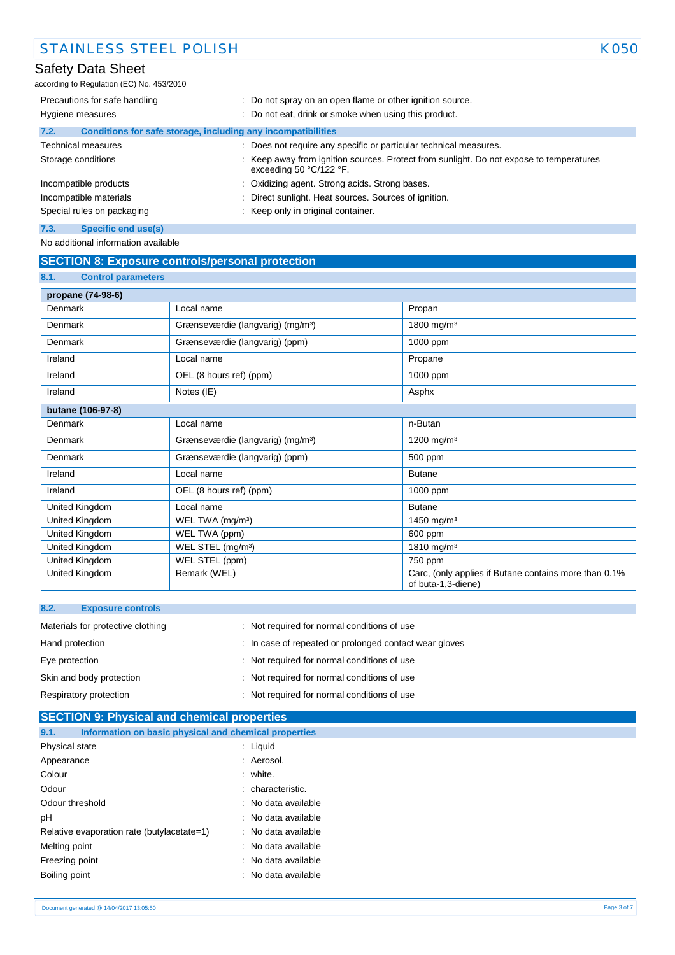according to Regulation (EC) No. 453/2010

| Precautions for safe handling                                        | : Do not spray on an open flame or other ignition source.                                                        |  |
|----------------------------------------------------------------------|------------------------------------------------------------------------------------------------------------------|--|
| Hygiene measures                                                     | : Do not eat, drink or smoke when using this product.                                                            |  |
| Conditions for safe storage, including any incompatibilities<br>7.2. |                                                                                                                  |  |
| <b>Technical measures</b>                                            | : Does not require any specific or particular technical measures.                                                |  |
| Storage conditions                                                   | Keep away from ignition sources. Protect from sunlight. Do not expose to temperatures<br>exceeding 50 °C/122 °F. |  |
| Incompatible products                                                | : Oxidizing agent. Strong acids. Strong bases.                                                                   |  |
| Incompatible materials                                               | Direct sunlight. Heat sources. Sources of ignition.                                                              |  |
| Special rules on packaging                                           | : Keep only in original container.                                                                               |  |
| 7.3.<br>Specific end use(s)                                          |                                                                                                                  |  |

No additional information available

# **SECTION 8: Exposure controls/personal protection**

| 8.1.<br><b>Control parameters</b> |                                               |                                                                             |
|-----------------------------------|-----------------------------------------------|-----------------------------------------------------------------------------|
| propane (74-98-6)                 |                                               |                                                                             |
| Denmark                           | Local name                                    | Propan                                                                      |
| Denmark                           | Grænseværdie (langvarig) (mg/m <sup>3</sup> ) | 1800 mg/m <sup>3</sup>                                                      |
| Denmark                           | Grænseværdie (langvarig) (ppm)                | 1000 ppm                                                                    |
| Ireland                           | Local name                                    | Propane                                                                     |
| Ireland                           | OEL (8 hours ref) (ppm)                       | 1000 ppm                                                                    |
| Ireland                           | Notes (IE)                                    | Asphx                                                                       |
| butane (106-97-8)                 |                                               |                                                                             |
| Denmark                           | Local name                                    | n-Butan                                                                     |
| Denmark                           | Grænseværdie (langvarig) (mg/m <sup>3</sup> ) | 1200 mg/m <sup>3</sup>                                                      |
| Denmark                           | Grænseværdie (langvarig) (ppm)                | 500 ppm                                                                     |
| Ireland                           | Local name                                    | <b>Butane</b>                                                               |
| Ireland                           | OEL (8 hours ref) (ppm)                       | 1000 ppm                                                                    |
| United Kingdom                    | Local name                                    | <b>Butane</b>                                                               |
| United Kingdom                    | WEL TWA (mg/m <sup>3</sup> )                  | 1450 mg/m <sup>3</sup>                                                      |
| United Kingdom                    | WEL TWA (ppm)                                 | 600 ppm                                                                     |
| United Kingdom                    | WEL STEL (mg/m <sup>3</sup> )                 | 1810 mg/m <sup>3</sup>                                                      |
| United Kingdom                    | WEL STEL (ppm)                                | 750 ppm                                                                     |
| United Kingdom                    | Remark (WEL)                                  | Carc, (only applies if Butane contains more than 0.1%<br>of buta-1,3-diene) |

| : Not required for normal conditions of use            |
|--------------------------------------------------------|
| : In case of repeated or prolonged contact wear gloves |
| : Not required for normal conditions of use            |
| : Not required for normal conditions of use            |
| : Not required for normal conditions of use            |
|                                                        |

| <b>SECTION 9: Physical and chemical properties</b>            |                     |  |  |  |
|---------------------------------------------------------------|---------------------|--|--|--|
| Information on basic physical and chemical properties<br>9.1. |                     |  |  |  |
| Physical state                                                | $:$ Liquid          |  |  |  |
| Appearance                                                    | : Aerosol.          |  |  |  |
| Colour                                                        | : white.            |  |  |  |
| Odour                                                         | : characteristic.   |  |  |  |
| Odour threshold                                               | : No data available |  |  |  |
| рH                                                            | : No data available |  |  |  |
| Relative evaporation rate (butylacetate=1)                    | : No data available |  |  |  |
| Melting point                                                 | : No data available |  |  |  |
| Freezing point                                                | : No data available |  |  |  |
| Boiling point                                                 | : No data available |  |  |  |
|                                                               |                     |  |  |  |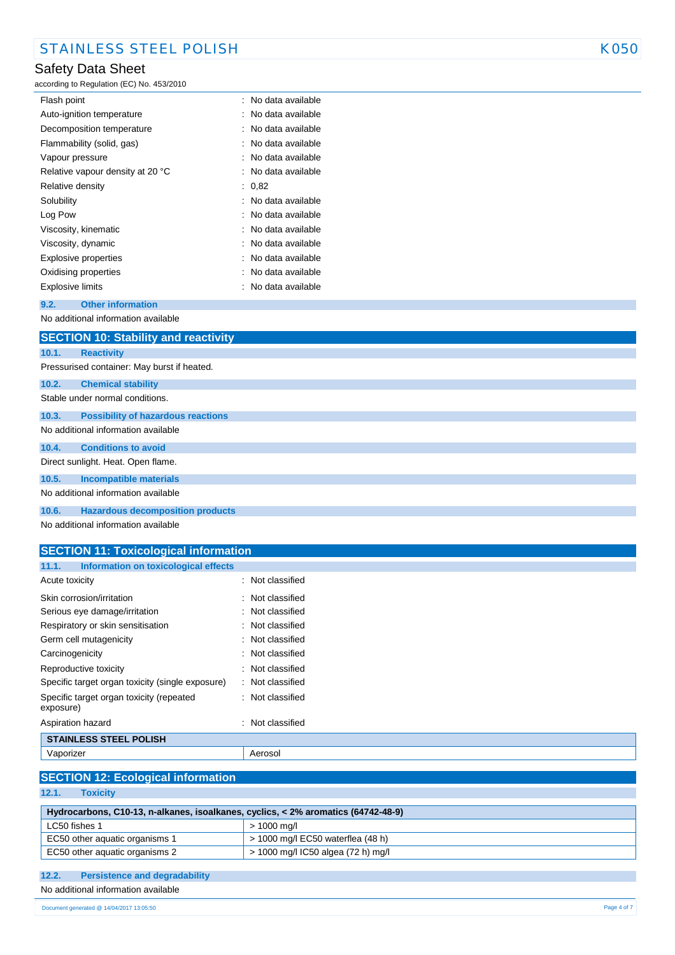according to Regulation (EC) No. 453/2010

| Flash point                      | : No data available |
|----------------------------------|---------------------|
| Auto-ignition temperature        | : No data available |
| Decomposition temperature        | : No data available |
| Flammability (solid, gas)        | : No data available |
| Vapour pressure                  | : No data available |
| Relative vapour density at 20 °C | : No data available |
| Relative density                 | : 0.82              |
| Solubility                       | : No data available |
| Log Pow                          | : No data available |
| Viscosity, kinematic             | : No data available |
| Viscosity, dynamic               | : No data available |
| Explosive properties             | : No data available |
| Oxidising properties             | : No data available |
| Explosive limits                 | : No data available |

### **9.2. Other information**

No additional information available

|                                             | <b>SECTION 10: Stability and reactivity</b> |  |
|---------------------------------------------|---------------------------------------------|--|
| 10.1.                                       | <b>Reactivity</b>                           |  |
| Pressurised container: May burst if heated. |                                             |  |
| 10.2.                                       | <b>Chemical stability</b>                   |  |
|                                             | Stable under normal conditions.             |  |
| 10.3.                                       | <b>Possibility of hazardous reactions</b>   |  |
|                                             | No additional information available         |  |
| 10.4.                                       | <b>Conditions to avoid</b>                  |  |
|                                             | Direct sunlight. Heat. Open flame.          |  |
| 10.5.                                       | <b>Incompatible materials</b>               |  |
|                                             | No additional information available         |  |
| 10.6.                                       | <b>Hazardous decomposition products</b>     |  |

No additional information available

| <b>SECTION 11: Toxicological information</b>          |                             |
|-------------------------------------------------------|-----------------------------|
| Information on toxicological effects<br>11.1.         |                             |
| Acute toxicity                                        | : Not classified            |
| Skin corrosion/irritation                             | : Not classified            |
| Serious eye damage/irritation                         | : Not classified            |
| Respiratory or skin sensitisation                     | $\therefore$ Not classified |
| Germ cell mutagenicity                                | : Not classified            |
| Carcinogenicity                                       | : Not classified            |
| Reproductive toxicity                                 | $\therefore$ Not classified |
| Specific target organ toxicity (single exposure)      | : Not classified            |
| Specific target organ toxicity (repeated<br>exposure) | : Not classified            |
| Aspiration hazard                                     | : Not classified            |
| <b>STAINLESS STEEL POLISH</b>                         |                             |

## Vaporizer **Aerosol**

**SECTION 12: Ecological information**

|       |                 | <u> 1920 : 1941 : 2011 - 1941 1942</u> |
|-------|-----------------|----------------------------------------|
|       |                 |                                        |
| 12.1. | <b>Toxicity</b> |                                        |
|       |                 |                                        |

| Hydrocarbons, C10-13, n-alkanes, isoalkanes, cyclics, < 2% aromatics (64742-48-9) |                                     |  |  |
|-----------------------------------------------------------------------------------|-------------------------------------|--|--|
| LC50 fishes 1                                                                     | > 1000 mg/l                         |  |  |
| EC50 other aquatic organisms 1                                                    | $>$ 1000 mg/l EC50 waterflea (48 h) |  |  |
| EC50 other aquatic organisms 2                                                    | > 1000 mg/l IC50 algea (72 h) mg/l  |  |  |

### **12.2. Persistence and degradability**

No additional information available

08/06/2015 EN (English) 4/7 Document generated @ 14/04/2017 13:05:50 Page 4 of 7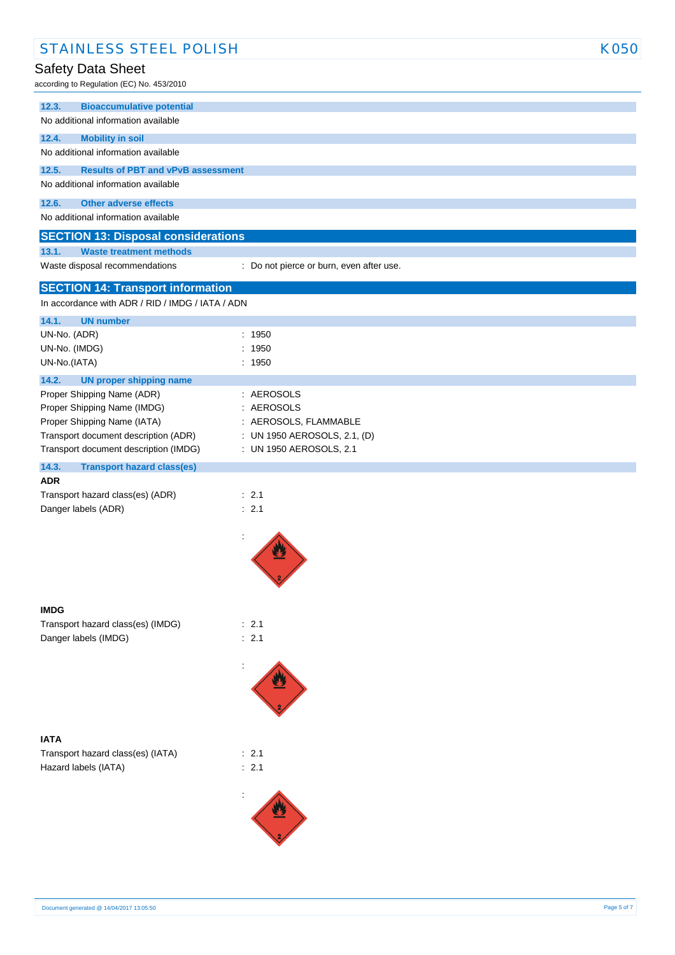| <b>STAINLESS STEEL POLISH</b>                                         |                                          | <b>K050</b> |
|-----------------------------------------------------------------------|------------------------------------------|-------------|
| Safety Data Sheet<br>according to Regulation (EC) No. 453/2010        |                                          |             |
| <b>Bioaccumulative potential</b><br>12.3.                             |                                          |             |
| No additional information available                                   |                                          |             |
| 12.4.<br><b>Mobility in soil</b>                                      |                                          |             |
| No additional information available                                   |                                          |             |
| 12.5.<br><b>Results of PBT and vPvB assessment</b>                    |                                          |             |
| No additional information available                                   |                                          |             |
| 12.6.<br><b>Other adverse effects</b>                                 |                                          |             |
| No additional information available                                   |                                          |             |
| <b>SECTION 13: Disposal considerations</b>                            |                                          |             |
| 13.1.<br><b>Waste treatment methods</b>                               |                                          |             |
| Waste disposal recommendations                                        | : Do not pierce or burn, even after use. |             |
| <b>SECTION 14: Transport information</b>                              |                                          |             |
| In accordance with ADR / RID / IMDG / IATA / ADN                      |                                          |             |
| 14.1.<br><b>UN number</b>                                             |                                          |             |
| UN-No. (ADR)                                                          | : 1950                                   |             |
| UN-No. (IMDG)                                                         | : 1950<br>: 1950                         |             |
| UN-No.(IATA)                                                          |                                          |             |
| 14.2.<br><b>UN proper shipping name</b><br>Proper Shipping Name (ADR) | : AEROSOLS                               |             |
| Proper Shipping Name (IMDG)                                           | AEROSOLS                                 |             |
| Proper Shipping Name (IATA)                                           | : AEROSOLS, FLAMMABLE                    |             |
| Transport document description (ADR)                                  | : UN 1950 AEROSOLS, 2.1, (D)             |             |
| Transport document description (IMDG)                                 | : UN 1950 AEROSOLS, 2.1                  |             |
| 14.3.<br><b>Transport hazard class(es)</b>                            |                                          |             |
| <b>ADR</b>                                                            | : 2.1                                    |             |
| Transport hazard class(es) (ADR)<br>Danger labels (ADR)               | : 2.1                                    |             |
|                                                                       |                                          |             |
|                                                                       | ÷                                        |             |
| <b>IMDG</b>                                                           |                                          |             |
| Transport hazard class(es) (IMDG)                                     | : 2.1                                    |             |
| Danger labels (IMDG)                                                  | : 2.1                                    |             |
|                                                                       |                                          |             |
|                                                                       |                                          |             |
| <b>IATA</b>                                                           |                                          |             |
| Transport hazard class(es) (IATA)                                     | : 2.1                                    |             |
| Hazard labels (IATA)                                                  | : 2.1                                    |             |
|                                                                       |                                          |             |
|                                                                       |                                          |             |
|                                                                       |                                          |             |
|                                                                       |                                          |             |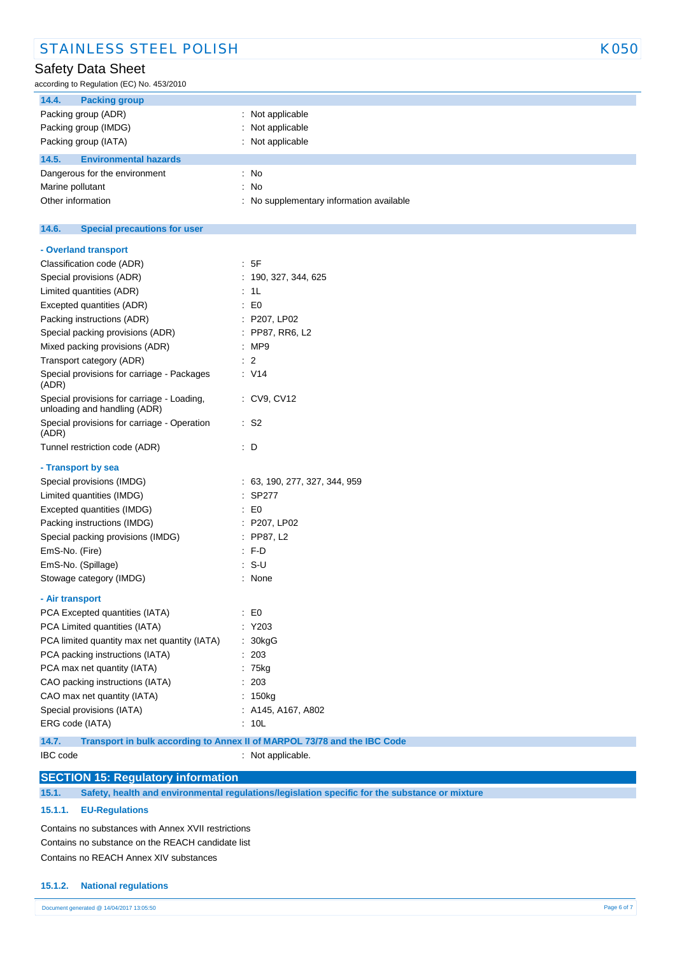according to Regulation (EC) No. 453/2010

| 14.4.<br><b>Packing group</b>         |                                          |
|---------------------------------------|------------------------------------------|
| Packing group (ADR)                   | : Not applicable                         |
| Packing group (IMDG)                  | : Not applicable                         |
| Packing group (IATA)                  | : Not applicable                         |
| 14.5.<br><b>Environmental hazards</b> |                                          |
| Dangerous for the environment         | : No                                     |
| Marine pollutant                      | : No                                     |
| Other information                     | : No supplementary information available |

#### $14.6.$ **14.6. Special precautions for user**

| - Overland transport                                                       |                                                                          |
|----------------------------------------------------------------------------|--------------------------------------------------------------------------|
| Classification code (ADR)                                                  | : 5F                                                                     |
| Special provisions (ADR)                                                   | 190, 327, 344, 625                                                       |
| Limited quantities (ADR)                                                   | 1L                                                                       |
| Excepted quantities (ADR)                                                  | : E0                                                                     |
| Packing instructions (ADR)                                                 | : P207, LP02                                                             |
| Special packing provisions (ADR)                                           | : PP87, RR6, L2                                                          |
| Mixed packing provisions (ADR)                                             | MP9                                                                      |
| Transport category (ADR)                                                   | -2                                                                       |
| Special provisions for carriage - Packages<br>(ADR)                        | : V14                                                                    |
| Special provisions for carriage - Loading,<br>unloading and handling (ADR) | : CV9, CV12                                                              |
| Special provisions for carriage - Operation<br>(ADR)                       | : S2                                                                     |
| Tunnel restriction code (ADR)                                              | : D                                                                      |
| - Transport by sea                                                         |                                                                          |
| Special provisions (IMDG)                                                  | : 63, 190, 277, 327, 344, 959                                            |
| Limited quantities (IMDG)                                                  | <b>SP277</b>                                                             |
| Excepted quantities (IMDG)                                                 | E0                                                                       |
| Packing instructions (IMDG)                                                | $:$ P207, LP02                                                           |
| Special packing provisions (IMDG)                                          | $:$ PP87, L2                                                             |
| EmS-No. (Fire)                                                             | $:$ F-D                                                                  |
| EmS-No. (Spillage)                                                         | $: S-U$                                                                  |
| Stowage category (IMDG)                                                    | : None                                                                   |
| - Air transport                                                            |                                                                          |
| PCA Excepted quantities (IATA)                                             | E <sub>0</sub>                                                           |
| PCA Limited quantities (IATA)                                              | Y203                                                                     |
| PCA limited quantity max net quantity (IATA)                               | 30kgG                                                                    |
| PCA packing instructions (IATA)                                            | 203                                                                      |
| PCA max net quantity (IATA)                                                | 75kg                                                                     |
| CAO packing instructions (IATA)                                            | 203                                                                      |
| CAO max net quantity (IATA)                                                | 150kg                                                                    |
| Special provisions (IATA)                                                  | A145, A167, A802                                                         |
| ERG code (IATA)                                                            | 10L                                                                      |
| 14.7.                                                                      | Transport in bulk according to Annex II of MARPOL 73/78 and the IBC Code |

# **SECTION 15: Regulatory information**

**15.1. Safety, health and environmental regulations/legislation specific for the substance or mixture**

### **15.1.1. EU-Regulations**

Contains no substances with Annex XVII restrictions Contains no substance on the REACH candidate list Contains no REACH Annex XIV substances

### **15.1.2. National regulations**

# IBC code : Not applicable.